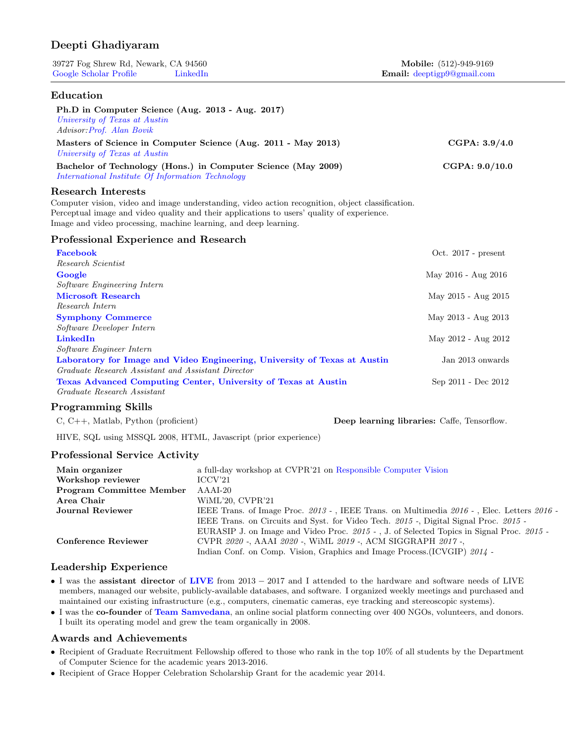# Deepti Ghadiyaram

| 39727 Fog Shrew Rd, Newark, CA 94560 |          | Mobile: (512)-949-9169                         |
|--------------------------------------|----------|------------------------------------------------|
| Google Scholar Profile               | LinkedIn | <b>Email:</b> deeptigp <sup>9</sup> @gmail.com |

# Education

| Ph.D in Computer Science (Aug. 2013 - Aug. 2017)<br>University of Texas at Austin<br>Advisor: Prof. Alan Bovik                                                                                                                                                                                  |                       |
|-------------------------------------------------------------------------------------------------------------------------------------------------------------------------------------------------------------------------------------------------------------------------------------------------|-----------------------|
| Masters of Science in Computer Science (Aug. 2011 - May 2013)<br>University of Texas at Austin                                                                                                                                                                                                  | CGPA: 3.9/4.0         |
| Bachelor of Technology (Hons.) in Computer Science (May 2009)<br>International Institute Of Information Technology                                                                                                                                                                              | CGPA: $9.0/10.0$      |
| <b>Research Interests</b><br>Computer vision, video and image understanding, video action recognition, object classification.<br>Perceptual image and video quality and their applications to users' quality of experience.<br>Image and video processing, machine learning, and deep learning. |                       |
| Professional Experience and Research                                                                                                                                                                                                                                                            |                       |
| Facebook<br>Research Scientist                                                                                                                                                                                                                                                                  | Oct. $2017$ - present |
| Google                                                                                                                                                                                                                                                                                          | May 2016 - Aug 2016   |
| Software Engineering Intern<br><b>Microsoft Research</b><br>Research Intern                                                                                                                                                                                                                     | May 2015 - Aug 2015   |
| <b>Symphony Commerce</b><br>Software Developer Intern                                                                                                                                                                                                                                           | May 2013 - Aug 2013   |
| <b>LinkedIn</b><br>Software Engineer Intern                                                                                                                                                                                                                                                     | May 2012 - Aug 2012   |
| Laboratory for Image and Video Engineering, University of Texas at Austin<br>Graduate Research Assistant and Assistant Director                                                                                                                                                                 | Jan 2013 onwards      |
| Texas Advanced Computing Center, University of Texas at Austin<br>Graduate Research Assistant                                                                                                                                                                                                   | Sep 2011 - Dec 2012   |

# Programming Skills

C, C++, Matlab, Python (proficient) Deep learning libraries: Caffe, Tensorflow.

HIVE, SQL using MSSQL 2008, HTML, Javascript (prior experience)

# Professional Service Activity

| Main organizer                  | a full-day workshop at CVPR'21 on Responsible Computer Vision                             |
|---------------------------------|-------------------------------------------------------------------------------------------|
| Workshop reviewer               | ICCV21                                                                                    |
| <b>Program Committee Member</b> | AAAI-20                                                                                   |
| Area Chair                      | WiML'20, CVPR'21                                                                          |
| Journal Reviewer                | IEEE Trans. of Image Proc. 2013 -, IEEE Trans. on Multimedia 2016 -, Elec. Letters 2016 - |
|                                 | IEEE Trans. on Circuits and Syst. for Video Tech. 2015 -, Digital Signal Proc. 2015 -     |
|                                 | EURASIP J. on Image and Video Proc. 2015 -, J. of Selected Topics in Signal Proc. 2015 -  |
| Conference Reviewer             | CVPR 2020 - AAAI 2020 - WIML 2019 - ACM SIGGRAPH 2017 -                                   |
|                                 | Indian Conf. on Comp. Vision, Graphics and Image Process. (ICVGIP) 2014 -                 |

# Leadership Experience

- I was the assistant director of [LIVE](http://live.ece.utexas.edu/) from 2013 − 2017 and I attended to the hardware and software needs of LIVE members, managed our website, publicly-available databases, and software. I organized weekly meetings and purchased and maintained our existing infrastructure (e.g., computers, cinematic cameras, eye tracking and stereoscopic systems).
- I was the co-founder of [Team Samvedana](http://team-samvedana.org/), an online social platform connecting over 400 NGOs, volunteers, and donors. I built its operating model and grew the team organically in 2008.

## Awards and Achievements

- Recipient of Graduate Recruitment Fellowship offered to those who rank in the top 10% of all students by the Department of Computer Science for the academic years 2013-2016.
- Recipient of Grace Hopper Celebration Scholarship Grant for the academic year 2014.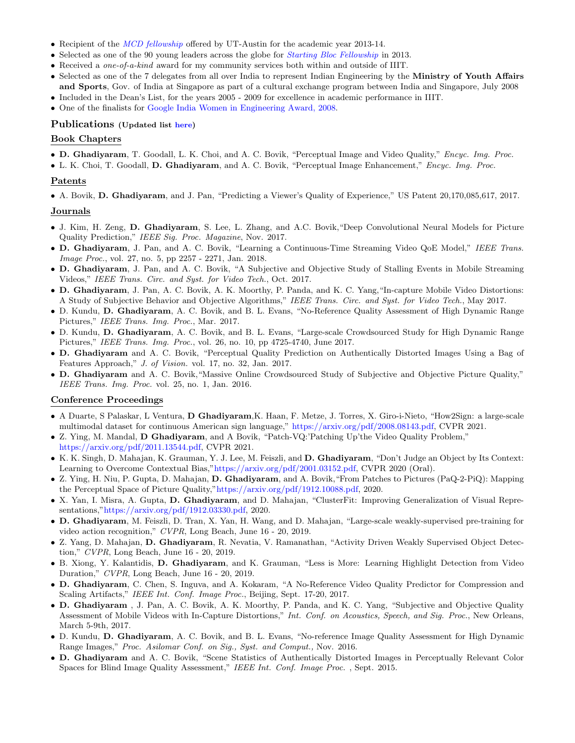- Recipient of the *[MCD fellowship](http://www.utexas.edu/ogs/funding/fellowships/mcd.html)* offered by UT-Austin for the academic year 2013-14.
- Selected as one of the 90 young leaders across the globe for *[Starting Bloc Fellowship](http://www.startingbloc.org/NY13)* in 2013.
- Received a one-of-a-kind award for my community services both within and outside of IIIT.
- Selected as one of the 7 delegates from all over India to represent Indian Engineering by the Ministry of Youth Affairs and Sports, Gov. of India at Singapore as part of a cultural exchange program between India and Singapore, July 2008
- Included in the Dean's List, for the years 2005 2009 for excellence in academic performance in IIIT.
- One of the finalists for [Google India Women in Engineering Award, 2008.](http://googleblog.blogspot.com/2008/01/google-india-women-in-engineering-award.html)

## Publications (Updated list [here\)](https://scholar.google.com/citations?user=NyKCrmoAAAAJ&hl=en&authuser=1)

### Book Chapters

- D. Ghadiyaram, T. Goodall, L. K. Choi, and A. C. Bovik, "Perceptual Image and Video Quality," Encyc. Img. Proc.
- L. K. Choi, T. Goodall, D. Ghadiyaram, and A. C. Bovik, "Perceptual Image Enhancement," Encyc. Img. Proc.

#### Patents

• A. Bovik, D. Ghadiyaram, and J. Pan, "Predicting a Viewer's Quality of Experience," US Patent 20,170,085,617, 2017.

#### Journals

- J. Kim, H. Zeng, D. Ghadiyaram, S. Lee, L. Zhang, and A.C. Bovik,"Deep Convolutional Neural Models for Picture Quality Prediction," IEEE Sig. Proc. Magazine, Nov. 2017.
- D. Ghadiyaram, J. Pan, and A. C. Bovik, "Learning a Continuous-Time Streaming Video QoE Model," IEEE Trans. Image Proc., vol. 27, no. 5, pp 2257 - 2271, Jan. 2018.
- D. Ghadiyaram, J. Pan, and A. C. Bovik, "A Subjective and Objective Study of Stalling Events in Mobile Streaming Videos," IEEE Trans. Circ. and Syst. for Video Tech., Oct. 2017.
- D. Ghadiyaram, J. Pan, A. C. Bovik, A. K. Moorthy, P. Panda, and K. C. Yang,"In-capture Mobile Video Distortions: A Study of Subjective Behavior and Objective Algorithms," IEEE Trans. Circ. and Syst. for Video Tech., May 2017.
- D. Kundu, D. Ghadiyaram, A. C. Bovik, and B. L. Evans, "No-Reference Quality Assessment of High Dynamic Range Pictures," IEEE Trans. Img. Proc., Mar. 2017.
- D. Kundu, D. Ghadiyaram, A. C. Bovik, and B. L. Evans, "Large-scale Crowdsourced Study for High Dynamic Range Pictures," IEEE Trans. Img. Proc., vol. 26, no. 10, pp 4725-4740, June 2017.
- D. Ghadiyaram and A. C. Bovik, "Perceptual Quality Prediction on Authentically Distorted Images Using a Bag of Features Approach," J. of Vision. vol. 17, no. 32, Jan. 2017.
- D. Ghadiyaram and A. C. Bovik,"Massive Online Crowdsourced Study of Subjective and Objective Picture Quality," IEEE Trans. Img. Proc. vol. 25, no. 1, Jan. 2016.

#### Conference Proceedings

- A Duarte, S Palaskar, L Ventura, D Ghadiyaram,K. Haan, F. Metze, J. Torres, X. Giro-i-Nieto, "How2Sign: a large-scale multimodal dataset for continuous American sign language," [https://arxiv.org/pdf/2008.08143.pdf,](https://arxiv.org/pdf/2008.08143.pdf) CVPR 2021.
- Z. Ying, M. Mandal, D Ghadiyaram, and A Bovik, "Patch-VQ:'Patching Up'the Video Quality Problem," [https://arxiv.org/pdf/2011.13544.pdf,](https://arxiv.org/pdf/2011.13544.pdf) CVPR 2021.
- K. K. Singh, D. Mahajan, K. Grauman, Y. J. Lee, M. Feiszli, and D. Ghadiyaram, "Don't Judge an Object by Its Context: Learning to Overcome Contextual Bias,["https://arxiv.org/pdf/2001.03152.pdf,](https://arxiv.org/pdf/2001.03152.pdf) CVPR 2020 (Oral).
- Z. Ying, H. Niu, P. Gupta, D. Mahajan, D. Ghadiyaram, and A. Bovik,"From Patches to Pictures (PaQ-2-PiQ): Mapping the Perceptual Space of Picture Quality,["https://arxiv.org/pdf/1912.10088.pdf,](https://arxiv.org/pdf/1912.10088.pdf) 2020.
- X. Yan, I. Misra, A. Gupta, D. Ghadiyaram, and D. Mahajan, "ClusterFit: Improving Generalization of Visual Representations,["https://arxiv.org/pdf/1912.03330.pdf,](https://arxiv.org/pdf/1912.03330.pdf) 2020.
- D. Ghadiyaram, M. Feiszli, D. Tran, X. Yan, H. Wang, and D. Mahajan, "Large-scale weakly-supervised pre-training for video action recognition," CVPR, Long Beach, June 16 - 20, 2019.
- Z. Yang, D. Mahajan, D. Ghadiyaram, R. Nevatia, V. Ramanathan, "Activity Driven Weakly Supervised Object Detection," CVPR, Long Beach, June 16 - 20, 2019.
- B. Xiong, Y. Kalantidis, D. Ghadiyaram, and K. Grauman, "Less is More: Learning Highlight Detection from Video Duration," CVPR, Long Beach, June 16 - 20, 2019.
- D. Ghadiyaram, C. Chen, S. Inguva, and A. Kokaram, "A No-Reference Video Quality Predictor for Compression and Scaling Artifacts," IEEE Int. Conf. Image Proc., Beijing, Sept. 17-20, 2017.
- D. Ghadiyaram , J. Pan, A. C. Bovik, A. K. Moorthy, P. Panda, and K. C. Yang, "Subjective and Objective Quality Assessment of Mobile Videos with In-Capture Distortions," Int. Conf. on Acoustics, Speech, and Sig. Proc., New Orleans, March 5-9th, 2017.
- D. Kundu, D. Ghadiyaram, A. C. Bovik, and B. L. Evans, "No-reference Image Quality Assessment for High Dynamic Range Images," Proc. Asilomar Conf. on Sig., Syst. and Comput., Nov. 2016.
- D. Ghadiyaram and A. C. Bovik, "Scene Statistics of Authentically Distorted Images in Perceptually Relevant Color Spaces for Blind Image Quality Assessment," IEEE Int. Conf. Image Proc. , Sept. 2015.